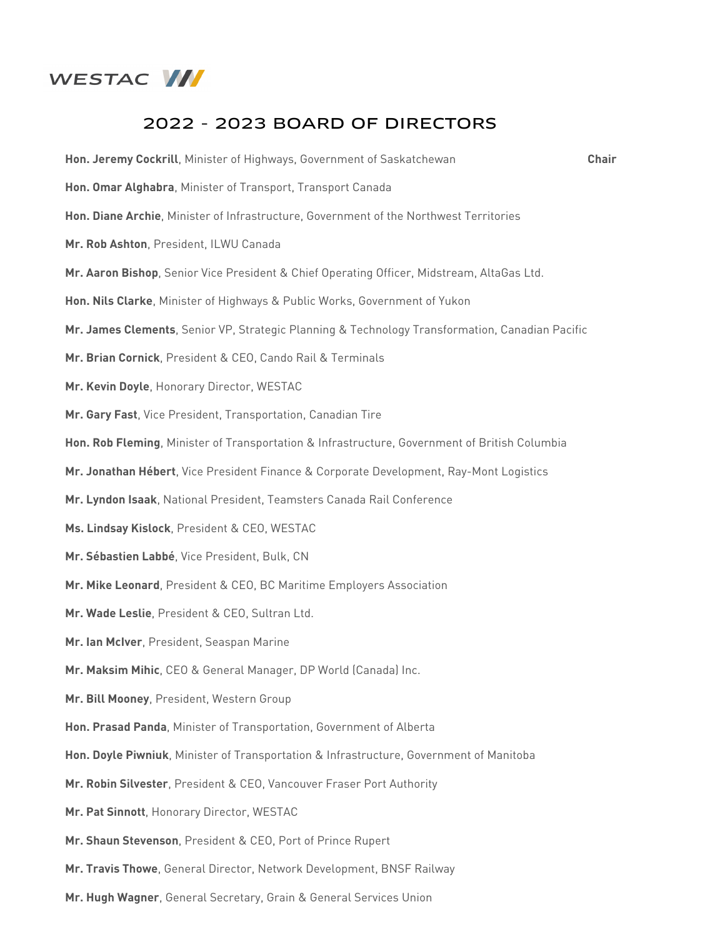

## 2022 - 2023 BOARD OF DIRECTORS

| Hon. Jeremy Cockrill, Minister of Highways, Government of Saskatchewan                          | <b>Chair</b> |
|-------------------------------------------------------------------------------------------------|--------------|
| Hon. Omar Alghabra, Minister of Transport, Transport Canada                                     |              |
| Hon. Diane Archie, Minister of Infrastructure, Government of the Northwest Territories          |              |
| Mr. Rob Ashton, President, ILWU Canada                                                          |              |
| Mr. Aaron Bishop, Senior Vice President & Chief Operating Officer, Midstream, AltaGas Ltd.      |              |
| Hon. Nils Clarke, Minister of Highways & Public Works, Government of Yukon                      |              |
| Mr. James Clements, Senior VP, Strategic Planning & Technology Transformation, Canadian Pacific |              |
| Mr. Brian Cornick, President & CEO, Cando Rail & Terminals                                      |              |
| Mr. Kevin Doyle, Honorary Director, WESTAC                                                      |              |
| Mr. Gary Fast, Vice President, Transportation, Canadian Tire                                    |              |
| Hon. Rob Fleming, Minister of Transportation & Infrastructure, Government of British Columbia   |              |
| Mr. Jonathan Hébert, Vice President Finance & Corporate Development, Ray-Mont Logistics         |              |
| Mr. Lyndon Isaak, National President, Teamsters Canada Rail Conference                          |              |
| Ms. Lindsay Kislock, President & CEO, WESTAC                                                    |              |
| Mr. Sébastien Labbé, Vice President, Bulk, CN                                                   |              |
| Mr. Mike Leonard, President & CEO, BC Maritime Employers Association                            |              |
| Mr. Wade Leslie, President & CEO, Sultran Ltd.                                                  |              |
| Mr. Ian McIver, President, Seaspan Marine                                                       |              |
| Mr. Maksim Mihic, CEO & General Manager, DP World (Canada) Inc.                                 |              |
| Mr. Bill Mooney, President, Western Group                                                       |              |
| Hon. Prasad Panda, Minister of Transportation, Government of Alberta                            |              |
| Hon. Doyle Piwniuk, Minister of Transportation & Infrastructure, Government of Manitoba         |              |
| Mr. Robin Silvester, President & CEO, Vancouver Fraser Port Authority                           |              |
| Mr. Pat Sinnott, Honorary Director, WESTAC                                                      |              |
| Mr. Shaun Stevenson, President & CEO, Port of Prince Rupert                                     |              |
| Mr. Travis Thowe, General Director, Network Development, BNSF Railway                           |              |
| Mr. Hugh Wagner, General Secretary, Grain & General Services Union                              |              |